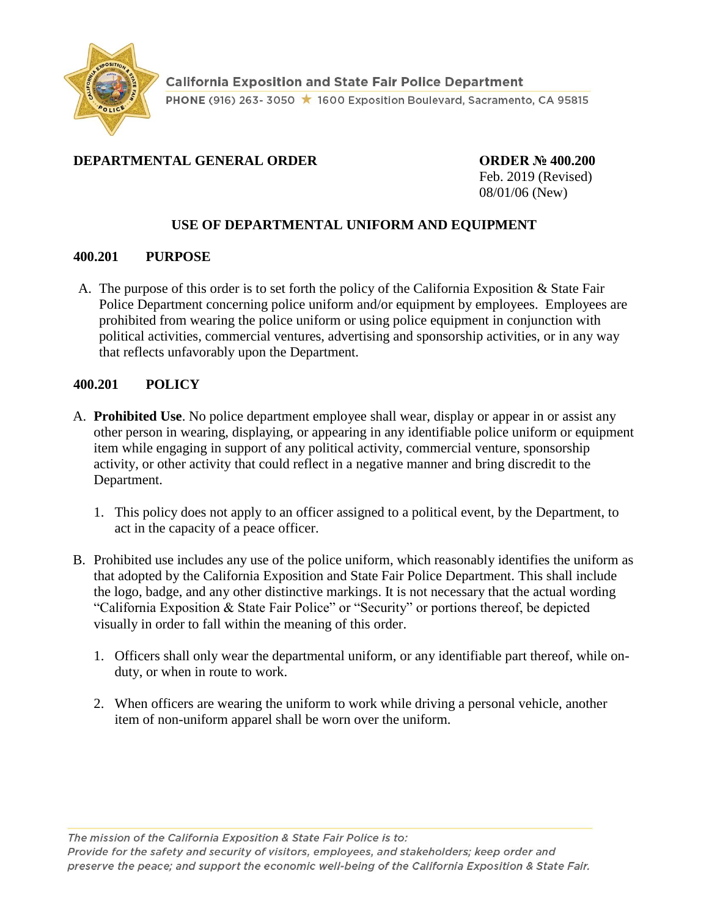

## **DEPARTMENTAL GENERAL ORDER ORDER № 400.200**

Feb. 2019 (Revised) 08/01/06 (New)

### **USE OF DEPARTMENTAL UNIFORM AND EQUIPMENT**

### **400.201 PURPOSE**

A. The purpose of this order is to set forth the policy of the California Exposition & State Fair Police Department concerning police uniform and/or equipment by employees. Employees are prohibited from wearing the police uniform or using police equipment in conjunction with political activities, commercial ventures, advertising and sponsorship activities, or in any way that reflects unfavorably upon the Department.

### **400.201 POLICY**

- A. **Prohibited Use**. No police department employee shall wear, display or appear in or assist any other person in wearing, displaying, or appearing in any identifiable police uniform or equipment item while engaging in support of any political activity, commercial venture, sponsorship activity, or other activity that could reflect in a negative manner and bring discredit to the Department.
	- 1. This policy does not apply to an officer assigned to a political event, by the Department, to act in the capacity of a peace officer.
- B. Prohibited use includes any use of the police uniform, which reasonably identifies the uniform as that adopted by the California Exposition and State Fair Police Department. This shall include the logo, badge, and any other distinctive markings. It is not necessary that the actual wording "California Exposition & State Fair Police" or "Security" or portions thereof, be depicted visually in order to fall within the meaning of this order.
	- 1. Officers shall only wear the departmental uniform, or any identifiable part thereof, while onduty, or when in route to work.
	- 2. When officers are wearing the uniform to work while driving a personal vehicle, another item of non-uniform apparel shall be worn over the uniform.